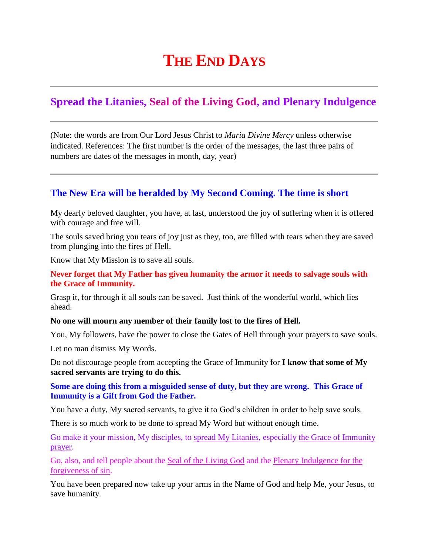# **THE END DAYS**

# **Spread the Litanies, Seal of the Living God, and Plenary Indulgence**

(Note: the words are from Our Lord Jesus Christ to *Maria Divine Mercy* unless otherwise indicated. References: The first number is the order of the messages, the last three pairs of numbers are dates of the messages in month, day, year)

## **[The New Era will be heralded by My Second Coming. The time is short](http://www.thewarningsecondcoming.com/the-new-era-will-be-heralded-by-my-second-coming-the-time-is-short/)**

My dearly beloved daughter, you have, at last, understood the joy of suffering when it is offered with courage and free will.

The souls saved bring you tears of joy just as they, too, are filled with tears when they are saved from plunging into the fires of Hell.

Know that My Mission is to save all souls.

#### **Never forget that My Father has given humanity the armor it needs to salvage souls with the Grace of Immunity.**

Grasp it, for through it all souls can be saved. Just think of the wonderful world, which lies ahead.

#### **No one will mourn any member of their family lost to the fires of Hell.**

You, My followers, have the power to close the Gates of Hell through your prayers to save souls.

Let no man dismiss My Words.

Do not discourage people from accepting the Grace of Immunity for **I know that some of My sacred servants are trying to do this.**

#### **Some are doing this from a misguided sense of duty, but they are wrong. This Grace of Immunity is a Gift from God the Father.**

You have a duty, My sacred servants, to give it to God's children in order to help save souls.

There is so much work to be done to spread My Word but without enough time.

Go make it your mission, My disciples, to spread My Litanies, especially the Grace of Immunity prayer.

Go, also, and tell people about the Seal of the Living God and the Plenary Indulgence for the forgiveness of sin.

You have been prepared now take up your arms in the Name of God and help Me, your Jesus, to save humanity.